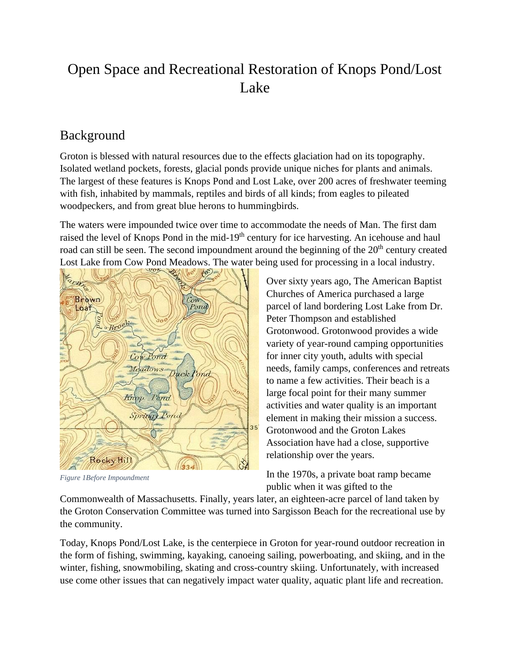# Open Space and Recreational Restoration of Knops Pond/Lost Lake

### Background

Groton is blessed with natural resources due to the effects glaciation had on its topography. Isolated wetland pockets, forests, glacial ponds provide unique niches for plants and animals. The largest of these features is Knops Pond and Lost Lake, over 200 acres of freshwater teeming with fish, inhabited by mammals, reptiles and birds of all kinds; from eagles to pileated woodpeckers, and from great blue herons to hummingbirds.

The waters were impounded twice over time to accommodate the needs of Man. The first dam raised the level of Knops Pond in the mid-19<sup>th</sup> century for ice harvesting. An icehouse and haul road can still be seen. The second impoundment around the beginning of the 20<sup>th</sup> century created Lost Lake from Cow Pond Meadows. The water being used for processing in a local industry.



*Figure 1Before Impoundment*

Over sixty years ago, The American Baptist Churches of America purchased a large parcel of land bordering Lost Lake from Dr. Peter Thompson and established Grotonwood. Grotonwood provides a wide variety of year-round camping opportunities for inner city youth, adults with special needs, family camps, conferences and retreats to name a few activities. Their beach is a large focal point for their many summer activities and water quality is an important element in making their mission a success. Grotonwood and the Groton Lakes Association have had a close, supportive relationship over the years.

In the 1970s, a private boat ramp became public when it was gifted to the

Commonwealth of Massachusetts. Finally, years later, an eighteen-acre parcel of land taken by the Groton Conservation Committee was turned into Sargisson Beach for the recreational use by the community.

Today, Knops Pond/Lost Lake, is the centerpiece in Groton for year-round outdoor recreation in the form of fishing, swimming, kayaking, canoeing sailing, powerboating, and skiing, and in the winter, fishing, snowmobiling, skating and cross-country skiing. Unfortunately, with increased use come other issues that can negatively impact water quality, aquatic plant life and recreation.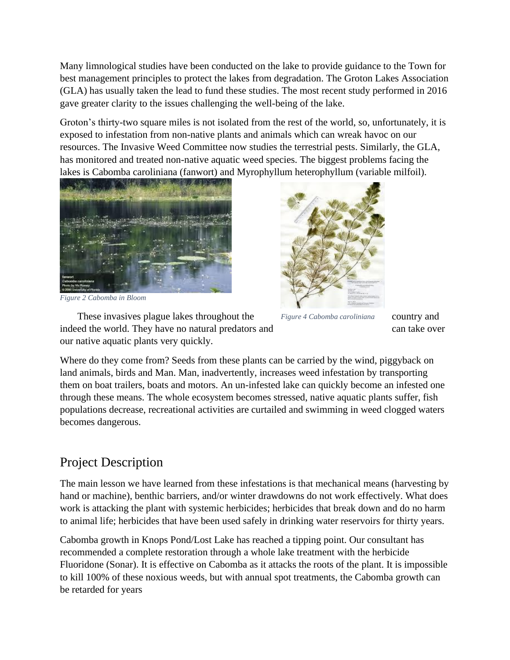Many limnological studies have been conducted on the lake to provide guidance to the Town for best management principles to protect the lakes from degradation. The Groton Lakes Association (GLA) has usually taken the lead to fund these studies. The most recent study performed in 2016 gave greater clarity to the issues challenging the well-being of the lake.

Groton's thirty-two square miles is not isolated from the rest of the world, so, unfortunately, it is exposed to infestation from non-native plants and animals which can wreak havoc on our resources. The Invasive Weed Committee now studies the terrestrial pests. Similarly, the GLA, has monitored and treated non-native aquatic weed species. The biggest problems facing the lakes is Cabomba caroliniana (fanwort) and Myrophyllum heterophyllum (variable milfoil).



*Figure 2 Cabomba in Bloom*

These invasives plague lakes throughout the Figure 4 Cabomba caroliniana country and indeed the world. They have no natural predators and can take over our native aquatic plants very quickly.



*Figure 4 Cabomba caroliniana*

Where do they come from? Seeds from these plants can be carried by the wind, piggyback on land animals, birds and Man. Man, inadvertently, increases weed infestation by transporting them on boat trailers, boats and motors. An un-infested lake can quickly become an infested one through these means. The whole ecosystem becomes stressed, native aquatic plants suffer, fish populations decrease, recreational activities are curtailed and swimming in weed clogged waters becomes dangerous.

## Project Description

The main lesson we have learned from these infestations is that mechanical means (harvesting by hand or machine), benthic barriers, and/or winter drawdowns do not work effectively. What does work is attacking the plant with systemic herbicides; herbicides that break down and do no harm to animal life; herbicides that have been used safely in drinking water reservoirs for thirty years.

Cabomba growth in Knops Pond/Lost Lake has reached a tipping point. Our consultant has recommended a complete restoration through a whole lake treatment with the herbicide Fluoridone (Sonar). It is effective on Cabomba as it attacks the roots of the plant. It is impossible to kill 100% of these noxious weeds, but with annual spot treatments, the Cabomba growth can be retarded for years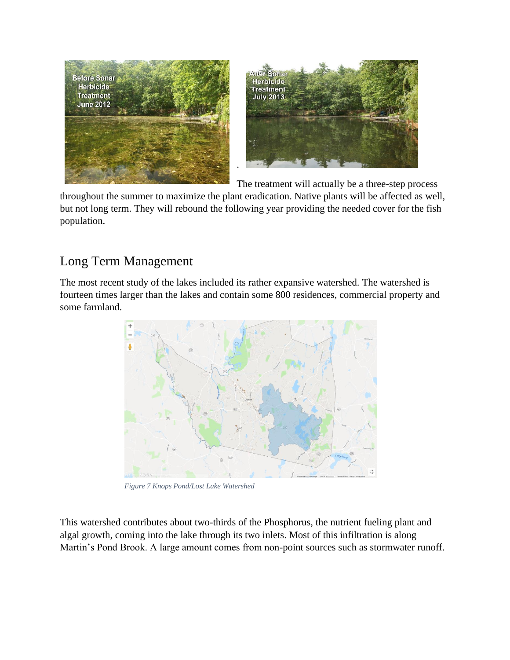

The treatment will actually be a three-step process

throughout the summer to maximize the plant eradication. Native plants will be affected as well, but not long term. They will rebound the following year providing the needed cover for the fish population.

## Long Term Management

The most recent study of the lakes included its rather expansive watershed. The watershed is fourteen times larger than the lakes and contain some 800 residences, commercial property and some farmland.



*Figure 7 Knops Pond/Lost Lake Watershed*

This watershed contributes about two-thirds of the Phosphorus, the nutrient fueling plant and algal growth, coming into the lake through its two inlets. Most of this infiltration is along Martin's Pond Brook. A large amount comes from non-point sources such as stormwater runoff.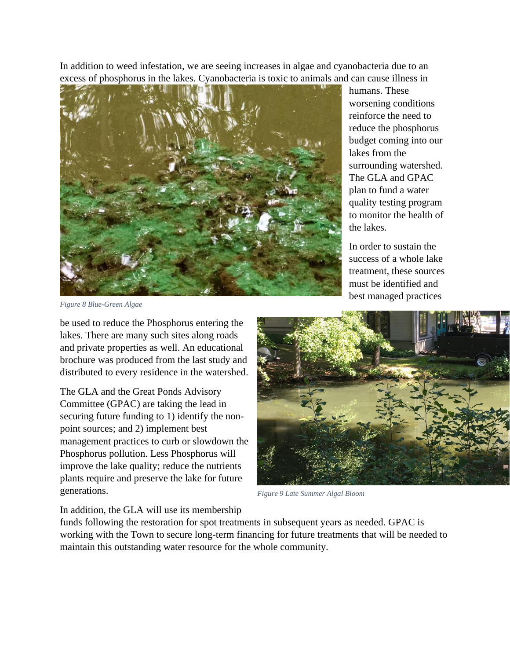In addition to weed infestation, we are seeing increases in algae and cyanobacteria due to an excess of phosphorus in the lakes. Cyanobacteria is toxic to animals and can cause illness in



humans. These worsening conditions reinforce the need to reduce the phosphorus budget coming into our lakes from the surrounding watershed. The GLA and GPAC plan to fund a water quality testing program to monitor the health of the lakes.

In order to sustain the success of a whole lake treatment, these sources must be identified and best managed practices

*Figure 8 Blue-Green Algae*

be used to reduce the Phosphorus entering the lakes. There are many such sites along roads and private properties as well. An educational brochure was produced from the last study and distributed to every residence in the watershed.

The GLA and the Great Ponds Advisory Committee (GPAC) are taking the lead in securing future funding to 1) identify the nonpoint sources; and 2) implement best management practices to curb or slowdown the Phosphorus pollution. Less Phosphorus will improve the lake quality; reduce the nutrients plants require and preserve the lake for future generations.



*Figure 9 Late Summer Algal Bloom*

In addition, the GLA will use its membership

funds following the restoration for spot treatments in subsequent years as needed. GPAC is working with the Town to secure long-term financing for future treatments that will be needed to maintain this outstanding water resource for the whole community.